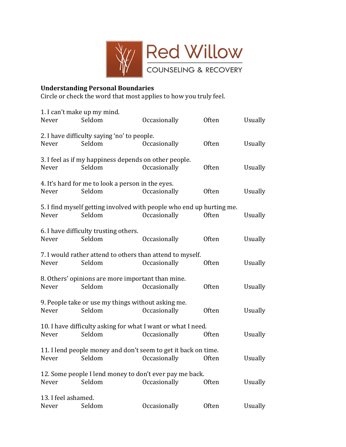

## **Understanding+Personal+Boundaries**

Circle or check the word that most applies to how you truly feel.

| Never                        | 1. I can't make up my mind.<br>Seldom                           | <b>Occasionally</b>                                                                  | Often        | <b>Usually</b> |
|------------------------------|-----------------------------------------------------------------|--------------------------------------------------------------------------------------|--------------|----------------|
| Never                        | 2. I have difficulty saying 'no' to people.<br>Seldom           | Occasionally                                                                         | Often        | Usually        |
| Never                        | 3. I feel as if my happiness depends on other people.<br>Seldom | Occasionally                                                                         | <b>Often</b> | Usually        |
| Never                        | 4. It's hard for me to look a person in the eyes.<br>Seldom     | Occasionally                                                                         | <b>Often</b> | <b>Usually</b> |
| Never                        | Seldom                                                          | 5. I find myself getting involved with people who end up hurting me.<br>Occasionally | <b>Often</b> | <b>Usually</b> |
| Never                        | 6. I have difficulty trusting others.<br>Seldom                 | Occasionally                                                                         | <b>Often</b> | <b>Usually</b> |
| Never                        | Seldom                                                          | 7. I would rather attend to others than attend to myself.<br>Occasionally            | <b>Often</b> | <b>Usually</b> |
| Never                        | 8. Others' opinions are more important than mine.<br>Seldom     | Occasionally                                                                         | <b>Often</b> | <b>Usually</b> |
| Never                        | 9. People take or use my things without asking me.<br>Seldom    | Occasionally                                                                         | <b>Often</b> | <b>Usually</b> |
| Never                        | Seldom                                                          | 10. I have difficulty asking for what I want or what I need.<br>Occasionally         | <b>Often</b> | <b>Usually</b> |
| Never                        | Seldom                                                          | 11. I lend people money and don't seem to get it back on time.<br>Occasionally       | <b>Often</b> | <b>Usually</b> |
| Never                        | Seldom                                                          | 12. Some people I lend money to don't ever pay me back.<br>Occasionally              | <b>Often</b> | <b>Usually</b> |
| 13. I feel ashamed.<br>Never | Seldom                                                          | Occasionally                                                                         | Often        | <b>Usually</b> |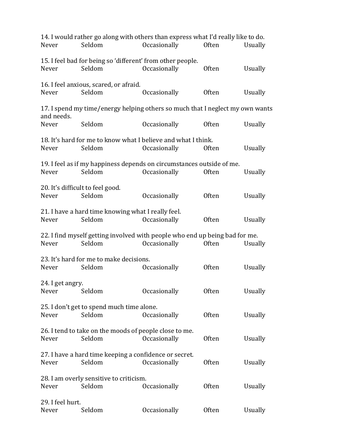| 14. I would rather go along with others than express what I'd really like to do. |                                                                       |                     |              |                |  |  |  |  |
|----------------------------------------------------------------------------------|-----------------------------------------------------------------------|---------------------|--------------|----------------|--|--|--|--|
| Never                                                                            | Seldom                                                                | Occasionally        | <b>Often</b> | Usually        |  |  |  |  |
| 15. I feel bad for being so 'different' from other people.                       |                                                                       |                     |              |                |  |  |  |  |
| Never                                                                            | Seldom                                                                | Occasionally        | <b>Often</b> | Usually        |  |  |  |  |
| 16. I feel anxious, scared, or afraid.                                           |                                                                       |                     |              |                |  |  |  |  |
| Never                                                                            | Seldom                                                                | Occasionally        | <b>Often</b> | <b>Usually</b> |  |  |  |  |
| 17. I spend my time/energy helping others so much that I neglect my own wants    |                                                                       |                     |              |                |  |  |  |  |
| and needs.                                                                       |                                                                       |                     |              |                |  |  |  |  |
| Never                                                                            | Seldom                                                                | Occasionally        | <b>Often</b> | <b>Usually</b> |  |  |  |  |
|                                                                                  | 18. It's hard for me to know what I believe and what I think.         |                     |              |                |  |  |  |  |
| Never                                                                            | Seldom                                                                | Occasionally        | Often        | <b>Usually</b> |  |  |  |  |
|                                                                                  | 19. I feel as if my happiness depends on circumstances outside of me. |                     |              |                |  |  |  |  |
| Never                                                                            | Seldom                                                                | Occasionally        | <b>Often</b> | Usually        |  |  |  |  |
|                                                                                  | 20. It's difficult to feel good.                                      |                     |              |                |  |  |  |  |
| Never                                                                            | Seldom                                                                | Occasionally        | Often        | <b>Usually</b> |  |  |  |  |
|                                                                                  | 21. I have a hard time knowing what I really feel.                    |                     |              |                |  |  |  |  |
| Never                                                                            | Seldom                                                                | Occasionally        | <b>Often</b> | <b>Usually</b> |  |  |  |  |
| 22. I find myself getting involved with people who end up being bad for me.      |                                                                       |                     |              |                |  |  |  |  |
| Never                                                                            | Seldom                                                                | Occasionally        | <b>Often</b> | Usually        |  |  |  |  |
|                                                                                  | 23. It's hard for me to make decisions.                               |                     |              |                |  |  |  |  |
| Never                                                                            | Seldom                                                                | <b>Occasionally</b> | Often        | Usually        |  |  |  |  |
| 24. I get angry.                                                                 |                                                                       |                     |              |                |  |  |  |  |
| Never                                                                            | Seldom                                                                | Occasionally        | Often        | Usually        |  |  |  |  |
|                                                                                  | 25. I don't get to spend much time alone.                             |                     |              |                |  |  |  |  |
| Never                                                                            | Seldom                                                                | Occasionally        | <b>Often</b> | <b>Usually</b> |  |  |  |  |
|                                                                                  | 26. I tend to take on the moods of people close to me.                |                     |              |                |  |  |  |  |
| Never                                                                            | Seldom                                                                | Occasionally        | <b>Often</b> | <b>Usually</b> |  |  |  |  |
| 27. I have a hard time keeping a confidence or secret.                           |                                                                       |                     |              |                |  |  |  |  |
| Never                                                                            | Seldom                                                                | Occasionally        | <b>Often</b> | <b>Usually</b> |  |  |  |  |
| 28. I am overly sensitive to criticism.                                          |                                                                       |                     |              |                |  |  |  |  |
| Never                                                                            | Seldom                                                                | Occasionally        | Often        | <b>Usually</b> |  |  |  |  |
| 29. I feel hurt.                                                                 |                                                                       |                     |              |                |  |  |  |  |
| Never                                                                            | Seldom                                                                | Occasionally        | Often        | <b>Usually</b> |  |  |  |  |